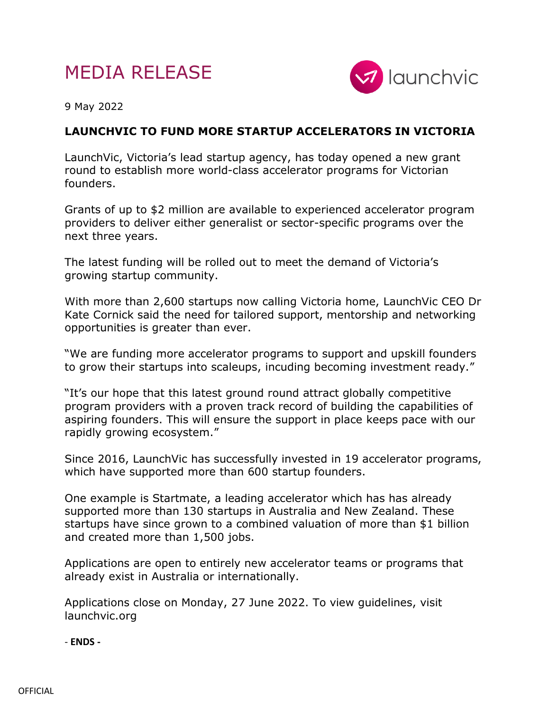## MEDIA RELEASE



9 May 2022

## **LAUNCHVIC TO FUND MORE STARTUP ACCELERATORS IN VICTORIA**

LaunchVic, Victoria's lead startup agency, has today opened a new grant round to establish more world-class accelerator programs for Victorian founders.

Grants of up to \$2 million are available to experienced accelerator program providers to deliver either generalist or sector-specific programs over the next three years.

The latest funding will be rolled out to meet the demand of Victoria's growing startup community.

With more than 2,600 startups now calling Victoria home, LaunchVic CEO Dr Kate Cornick said the need for tailored support, mentorship and networking opportunities is greater than ever.

"We are funding more accelerator programs to support and upskill founders to grow their startups into scaleups, incuding becoming investment ready."

"It's our hope that this latest ground round attract globally competitive program providers with a proven track record of building the capabilities of aspiring founders. This will ensure the support in place keeps pace with our rapidly growing ecosystem."

Since 2016, LaunchVic has successfully invested in 19 accelerator programs, which have supported more than 600 startup founders.

One example is Startmate, a leading accelerator which has has already supported more than 130 startups in Australia and New Zealand. These startups have since grown to a combined valuation of more than \$1 billion and created more than 1,500 jobs.

Applications are open to entirely new accelerator teams or programs that already exist in Australia or internationally.

Applications close on Monday, 27 June 2022. To view guidelines, visit launchvic.org

- **ENDS -**